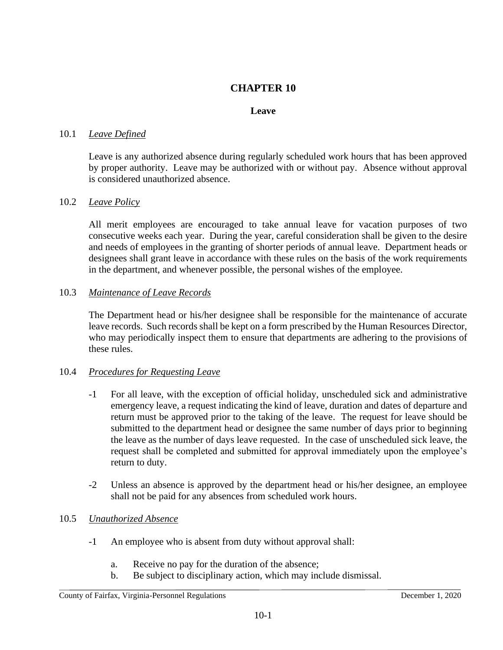# **CHAPTER 10**

## **Leave**

# 10.1 *Leave Defined*

Leave is any authorized absence during regularly scheduled work hours that has been approved by proper authority. Leave may be authorized with or without pay. Absence without approval is considered unauthorized absence.

## 10.2 *Leave Policy*

All merit employees are encouraged to take annual leave for vacation purposes of two consecutive weeks each year. During the year, careful consideration shall be given to the desire and needs of employees in the granting of shorter periods of annual leave. Department heads or designees shall grant leave in accordance with these rules on the basis of the work requirements in the department, and whenever possible, the personal wishes of the employee.

## 10.3 *Maintenance of Leave Records*

The Department head or his/her designee shall be responsible for the maintenance of accurate leave records. Such records shall be kept on a form prescribed by the Human Resources Director, who may periodically inspect them to ensure that departments are adhering to the provisions of these rules.

### 10.4 *Procedures for Requesting Leave*

- -1 For all leave, with the exception of official holiday, unscheduled sick and administrative emergency leave, a request indicating the kind of leave, duration and dates of departure and return must be approved prior to the taking of the leave. The request for leave should be submitted to the department head or designee the same number of days prior to beginning the leave as the number of days leave requested. In the case of unscheduled sick leave, the request shall be completed and submitted for approval immediately upon the employee's return to duty.
- -2 Unless an absence is approved by the department head or his/her designee, an employee shall not be paid for any absences from scheduled work hours.

# 10.5 *Unauthorized Absence*

- -1 An employee who is absent from duty without approval shall:
	- a. Receive no pay for the duration of the absence;
	- b. Be subject to disciplinary action, which may include dismissal.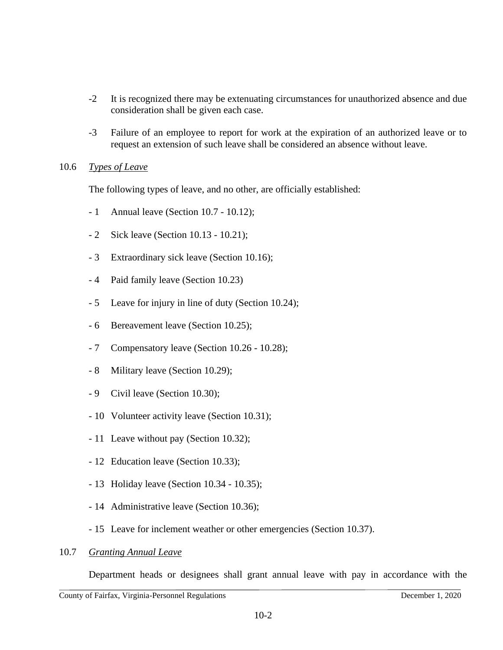- -2 It is recognized there may be extenuating circumstances for unauthorized absence and due consideration shall be given each case.
- -3 Failure of an employee to report for work at the expiration of an authorized leave or to request an extension of such leave shall be considered an absence without leave.

#### 10.6 *Types of Leave*

The following types of leave, and no other, are officially established:

- 1 Annual leave (Section 10.7 10.12);
- 2 Sick leave (Section 10.13 10.21);
- 3 Extraordinary sick leave (Section 10.16);
- 4 Paid family leave (Section 10.23)
- 5 Leave for injury in line of duty (Section 10.24);
- 6 Bereavement leave (Section 10.25);
- 7 Compensatory leave (Section 10.26 10.28);
- 8 Military leave (Section 10.29);
- 9 Civil leave (Section 10.30);
- 10 Volunteer activity leave (Section 10.31);
- 11 Leave without pay (Section 10.32);
- 12 Education leave (Section 10.33);
- 13 Holiday leave (Section 10.34 10.35);
- 14 Administrative leave (Section 10.36);
- 15 Leave for inclement weather or other emergencies (Section 10.37).
- 10.7 *Granting Annual Leave*

Department heads or designees shall grant annual leave with pay in accordance with the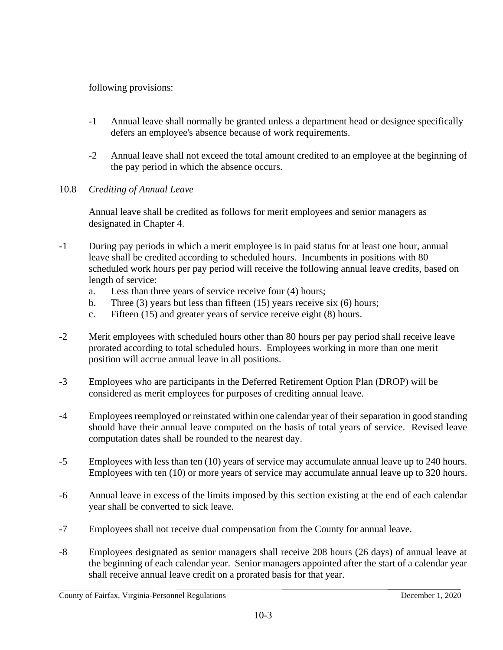following provisions:

- -1 Annual leave shall normally be granted unless a department head or designee specifically defers an employee's absence because of work requirements.
- -2 Annual leave shall not exceed the total amount credited to an employee at the beginning of the pay period in which the absence occurs.

# 10.8 *Crediting of Annual Leave*

Annual leave shall be credited as follows for merit employees and senior managers as designated in Chapter 4.

- -1 During pay periods in which a merit employee is in paid status for at least one hour, annual leave shall be credited according to scheduled hours. Incumbents in positions with 80 scheduled work hours per pay period will receive the following annual leave credits, based on length of service:
	- a. Less than three years of service receive four (4) hours;
	- b. Three  $(3)$  years but less than fifteen  $(15)$  years receive six  $(6)$  hours;
	- c. Fifteen (15) and greater years of service receive eight (8) hours.
- -2 Merit employees with scheduled hours other than 80 hours per pay period shall receive leave prorated according to total scheduled hours. Employees working in more than one merit position will accrue annual leave in all positions.
- -3 Employees who are participants in the Deferred Retirement Option Plan (DROP) will be considered as merit employees for purposes of crediting annual leave.
- -4 Employees reemployed or reinstated within one calendar year of their separation in good standing should have their annual leave computed on the basis of total years of service. Revised leave computation dates shall be rounded to the nearest day.
- -5 Employees with less than ten (10) years of service may accumulate annual leave up to 240 hours. Employees with ten (10) or more years of service may accumulate annual leave up to 320 hours.
- -6 Annual leave in excess of the limits imposed by this section existing at the end of each calendar year shall be converted to sick leave.
- -7 Employees shall not receive dual compensation from the County for annual leave.
- -8 Employees designated as senior managers shall receive 208 hours (26 days) of annual leave at the beginning of each calendar year. Senior managers appointed after the start of a calendar year shall receive annual leave credit on a prorated basis for that year.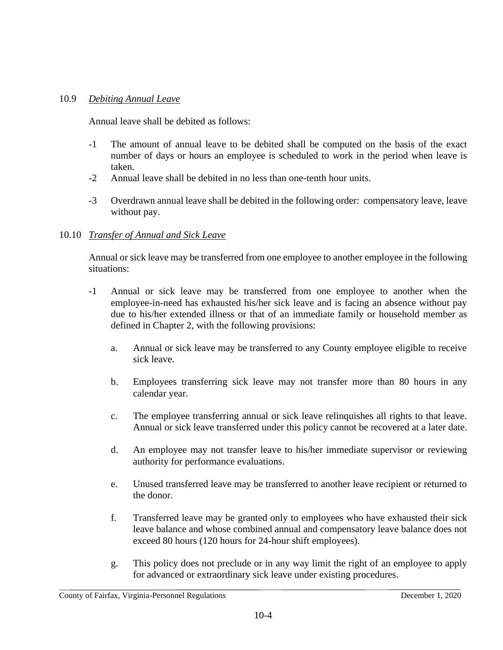## 10.9 *Debiting Annual Leave*

Annual leave shall be debited as follows:

- -1 The amount of annual leave to be debited shall be computed on the basis of the exact number of days or hours an employee is scheduled to work in the period when leave is taken.
- -2 Annual leave shall be debited in no less than one-tenth hour units.
- -3 Overdrawn annual leave shall be debited in the following order: compensatory leave, leave without pay.

## 10.10 *Transfer of Annual and Sick Leave*

Annual or sick leave may be transferred from one employee to another employee in the following situations:

- -1 Annual or sick leave may be transferred from one employee to another when the employee-in-need has exhausted his/her sick leave and is facing an absence without pay due to his/her extended illness or that of an immediate family or household member as defined in Chapter 2, with the following provisions:
	- a. Annual or sick leave may be transferred to any County employee eligible to receive sick leave.
	- b. Employees transferring sick leave may not transfer more than 80 hours in any calendar year.
	- c. The employee transferring annual or sick leave relinquishes all rights to that leave. Annual or sick leave transferred under this policy cannot be recovered at a later date.
	- d. An employee may not transfer leave to his/her immediate supervisor or reviewing authority for performance evaluations.
	- e. Unused transferred leave may be transferred to another leave recipient or returned to the donor.
	- f. Transferred leave may be granted only to employees who have exhausted their sick leave balance and whose combined annual and compensatory leave balance does not exceed 80 hours (120 hours for 24-hour shift employees).
	- g. This policy does not preclude or in any way limit the right of an employee to apply for advanced or extraordinary sick leave under existing procedures.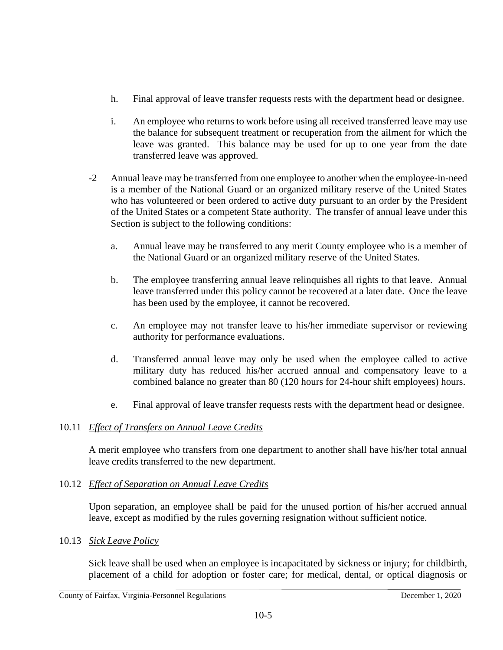- h. Final approval of leave transfer requests rests with the department head or designee.
- i. An employee who returns to work before using all received transferred leave may use the balance for subsequent treatment or recuperation from the ailment for which the leave was granted. This balance may be used for up to one year from the date transferred leave was approved.
- -2 Annual leave may be transferred from one employee to another when the employee-in-need is a member of the National Guard or an organized military reserve of the United States who has volunteered or been ordered to active duty pursuant to an order by the President of the United States or a competent State authority. The transfer of annual leave under this Section is subject to the following conditions:
	- a. Annual leave may be transferred to any merit County employee who is a member of the National Guard or an organized military reserve of the United States.
	- b. The employee transferring annual leave relinquishes all rights to that leave. Annual leave transferred under this policy cannot be recovered at a later date. Once the leave has been used by the employee, it cannot be recovered.
	- c. An employee may not transfer leave to his/her immediate supervisor or reviewing authority for performance evaluations.
	- d. Transferred annual leave may only be used when the employee called to active military duty has reduced his/her accrued annual and compensatory leave to a combined balance no greater than 80 (120 hours for 24-hour shift employees) hours.
	- e. Final approval of leave transfer requests rests with the department head or designee.

### 10.11 *Effect of Transfers on Annual Leave Credits*

A merit employee who transfers from one department to another shall have his/her total annual leave credits transferred to the new department.

### 10.12 *Effect of Separation on Annual Leave Credits*

Upon separation, an employee shall be paid for the unused portion of his/her accrued annual leave, except as modified by the rules governing resignation without sufficient notice.

#### 10.13 *Sick Leave Policy*

Sick leave shall be used when an employee is incapacitated by sickness or injury; for childbirth, placement of a child for adoption or foster care; for medical, dental, or optical diagnosis or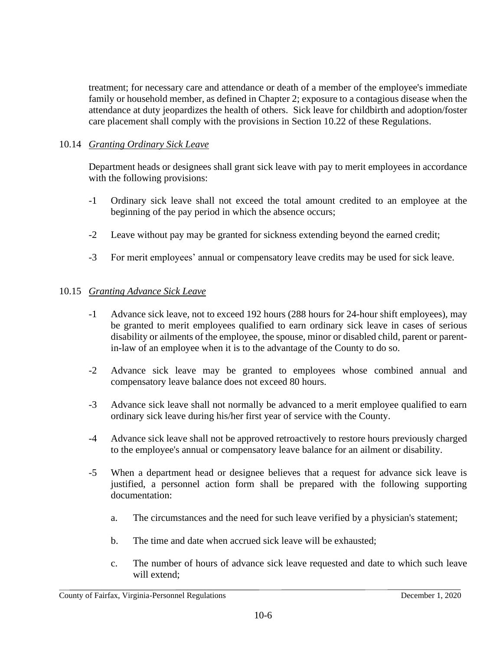treatment; for necessary care and attendance or death of a member of the employee's immediate family or household member, as defined in Chapter 2; exposure to a contagious disease when the attendance at duty jeopardizes the health of others. Sick leave for childbirth and adoption/foster care placement shall comply with the provisions in Section 10.22 of these Regulations.

# 10.14 *Granting Ordinary Sick Leave*

Department heads or designees shall grant sick leave with pay to merit employees in accordance with the following provisions:

- -1 Ordinary sick leave shall not exceed the total amount credited to an employee at the beginning of the pay period in which the absence occurs;
- -2 Leave without pay may be granted for sickness extending beyond the earned credit;
- -3 For merit employees' annual or compensatory leave credits may be used for sick leave.

### 10.15 *Granting Advance Sick Leave*

- -1 Advance sick leave, not to exceed 192 hours (288 hours for 24-hour shift employees), may be granted to merit employees qualified to earn ordinary sick leave in cases of serious disability or ailments of the employee, the spouse, minor or disabled child, parent or parentin-law of an employee when it is to the advantage of the County to do so.
- -2 Advance sick leave may be granted to employees whose combined annual and compensatory leave balance does not exceed 80 hours.
- -3 Advance sick leave shall not normally be advanced to a merit employee qualified to earn ordinary sick leave during his/her first year of service with the County.
- -4 Advance sick leave shall not be approved retroactively to restore hours previously charged to the employee's annual or compensatory leave balance for an ailment or disability.
- -5 When a department head or designee believes that a request for advance sick leave is justified, a personnel action form shall be prepared with the following supporting documentation:
	- a. The circumstances and the need for such leave verified by a physician's statement;
	- b. The time and date when accrued sick leave will be exhausted;
	- c. The number of hours of advance sick leave requested and date to which such leave will extend;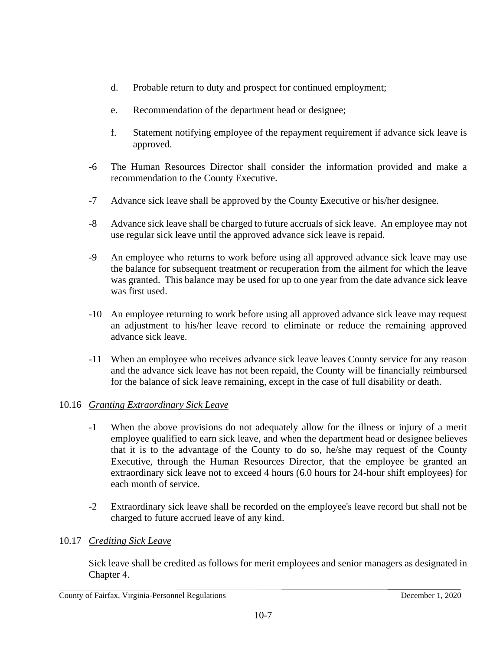- d. Probable return to duty and prospect for continued employment;
- e. Recommendation of the department head or designee;
- f. Statement notifying employee of the repayment requirement if advance sick leave is approved.
- -6 The Human Resources Director shall consider the information provided and make a recommendation to the County Executive.
- -7 Advance sick leave shall be approved by the County Executive or his/her designee.
- -8 Advance sick leave shall be charged to future accruals of sick leave. An employee may not use regular sick leave until the approved advance sick leave is repaid.
- -9 An employee who returns to work before using all approved advance sick leave may use the balance for subsequent treatment or recuperation from the ailment for which the leave was granted. This balance may be used for up to one year from the date advance sick leave was first used.
- -10 An employee returning to work before using all approved advance sick leave may request an adjustment to his/her leave record to eliminate or reduce the remaining approved advance sick leave.
- -11 When an employee who receives advance sick leave leaves County service for any reason and the advance sick leave has not been repaid, the County will be financially reimbursed for the balance of sick leave remaining, except in the case of full disability or death.

# 10.16 *Granting Extraordinary Sick Leave*

- -1 When the above provisions do not adequately allow for the illness or injury of a merit employee qualified to earn sick leave, and when the department head or designee believes that it is to the advantage of the County to do so, he/she may request of the County Executive, through the Human Resources Director, that the employee be granted an extraordinary sick leave not to exceed 4 hours (6.0 hours for 24-hour shift employees) for each month of service.
- -2 Extraordinary sick leave shall be recorded on the employee's leave record but shall not be charged to future accrued leave of any kind.

# 10.17 *Crediting Sick Leave*

Sick leave shall be credited as follows for merit employees and senior managers as designated in Chapter 4.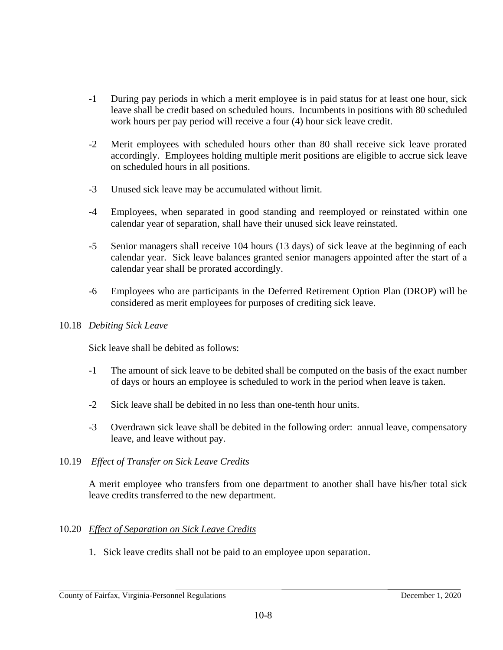- -1 During pay periods in which a merit employee is in paid status for at least one hour, sick leave shall be credit based on scheduled hours. Incumbents in positions with 80 scheduled work hours per pay period will receive a four (4) hour sick leave credit.
- -2 Merit employees with scheduled hours other than 80 shall receive sick leave prorated accordingly. Employees holding multiple merit positions are eligible to accrue sick leave on scheduled hours in all positions.
- -3 Unused sick leave may be accumulated without limit.
- -4 Employees, when separated in good standing and reemployed or reinstated within one calendar year of separation, shall have their unused sick leave reinstated.
- -5 Senior managers shall receive 104 hours (13 days) of sick leave at the beginning of each calendar year. Sick leave balances granted senior managers appointed after the start of a calendar year shall be prorated accordingly.
- -6 Employees who are participants in the Deferred Retirement Option Plan (DROP) will be considered as merit employees for purposes of crediting sick leave.

# 10.18 *Debiting Sick Leave*

Sick leave shall be debited as follows:

- -1 The amount of sick leave to be debited shall be computed on the basis of the exact number of days or hours an employee is scheduled to work in the period when leave is taken.
- -2 Sick leave shall be debited in no less than one-tenth hour units.
- -3 Overdrawn sick leave shall be debited in the following order: annual leave, compensatory leave, and leave without pay.

# 10.19 *Effect of Transfer on Sick Leave Credits*

A merit employee who transfers from one department to another shall have his/her total sick leave credits transferred to the new department.

# 10.20 *Effect of Separation on Sick Leave Credits*

1. Sick leave credits shall not be paid to an employee upon separation.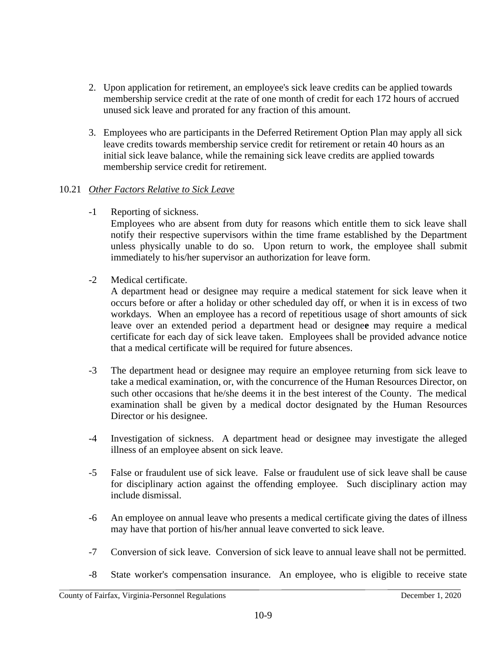- 2. Upon application for retirement, an employee's sick leave credits can be applied towards membership service credit at the rate of one month of credit for each 172 hours of accrued unused sick leave and prorated for any fraction of this amount.
- 3. Employees who are participants in the Deferred Retirement Option Plan may apply all sick leave credits towards membership service credit for retirement or retain 40 hours as an initial sick leave balance, while the remaining sick leave credits are applied towards membership service credit for retirement.

### 10.21 *Other Factors Relative to Sick Leave*

-1 Reporting of sickness.

Employees who are absent from duty for reasons which entitle them to sick leave shall notify their respective supervisors within the time frame established by the Department unless physically unable to do so. Upon return to work, the employee shall submit immediately to his/her supervisor an authorization for leave form.

-2 Medical certificate.

A department head or designee may require a medical statement for sick leave when it occurs before or after a holiday or other scheduled day off, or when it is in excess of two workdays. When an employee has a record of repetitious usage of short amounts of sick leave over an extended period a department head or designe**e** may require a medical certificate for each day of sick leave taken. Employees shall be provided advance notice that a medical certificate will be required for future absences.

- -3 The department head or designee may require an employee returning from sick leave to take a medical examination, or, with the concurrence of the Human Resources Director, on such other occasions that he/she deems it in the best interest of the County. The medical examination shall be given by a medical doctor designated by the Human Resources Director or his designee.
- -4 Investigation of sickness. A department head or designee may investigate the alleged illness of an employee absent on sick leave.
- -5 False or fraudulent use of sick leave. False or fraudulent use of sick leave shall be cause for disciplinary action against the offending employee. Such disciplinary action may include dismissal.
- -6 An employee on annual leave who presents a medical certificate giving the dates of illness may have that portion of his/her annual leave converted to sick leave.
- -7 Conversion of sick leave. Conversion of sick leave to annual leave shall not be permitted.
- -8 State worker's compensation insurance. An employee, who is eligible to receive state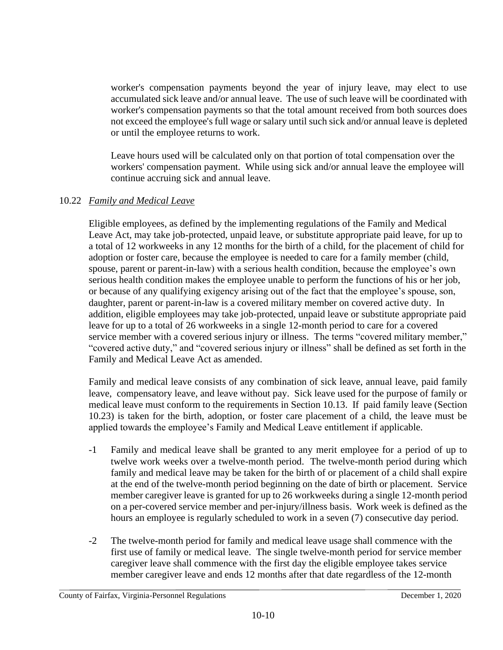worker's compensation payments beyond the year of injury leave, may elect to use accumulated sick leave and/or annual leave. The use of such leave will be coordinated with worker's compensation payments so that the total amount received from both sources does not exceed the employee's full wage or salary until such sick and/or annual leave is depleted or until the employee returns to work.

Leave hours used will be calculated only on that portion of total compensation over the workers' compensation payment. While using sick and/or annual leave the employee will continue accruing sick and annual leave.

## 10.22 *Family and Medical Leave*

Eligible employees, as defined by the implementing regulations of the Family and Medical Leave Act, may take job-protected, unpaid leave, or substitute appropriate paid leave, for up to a total of 12 workweeks in any 12 months for the birth of a child, for the placement of child for adoption or foster care, because the employee is needed to care for a family member (child, spouse, parent or parent-in-law) with a serious health condition, because the employee's own serious health condition makes the employee unable to perform the functions of his or her job, or because of any qualifying exigency arising out of the fact that the employee's spouse, son, daughter, parent or parent-in-law is a covered military member on covered active duty. In addition, eligible employees may take job-protected, unpaid leave or substitute appropriate paid leave for up to a total of 26 workweeks in a single 12-month period to care for a covered service member with a covered serious injury or illness. The terms "covered military member," "covered active duty," and "covered serious injury or illness" shall be defined as set forth in the Family and Medical Leave Act as amended.

Family and medical leave consists of any combination of sick leave, annual leave, paid family leave, compensatory leave, and leave without pay. Sick leave used for the purpose of family or medical leave must conform to the requirements in Section 10.13. If paid family leave (Section 10.23) is taken for the birth, adoption, or foster care placement of a child, the leave must be applied towards the employee's Family and Medical Leave entitlement if applicable.

- -1 Family and medical leave shall be granted to any merit employee for a period of up to twelve work weeks over a twelve-month period. The twelve-month period during which family and medical leave may be taken for the birth of or placement of a child shall expire at the end of the twelve-month period beginning on the date of birth or placement. Service member caregiver leave is granted for up to 26 workweeks during a single 12-month period on a per-covered service member and per-injury/illness basis. Work week is defined as the hours an employee is regularly scheduled to work in a seven (7) consecutive day period.
- -2 The twelve-month period for family and medical leave usage shall commence with the first use of family or medical leave. The single twelve-month period for service member caregiver leave shall commence with the first day the eligible employee takes service member caregiver leave and ends 12 months after that date regardless of the 12-month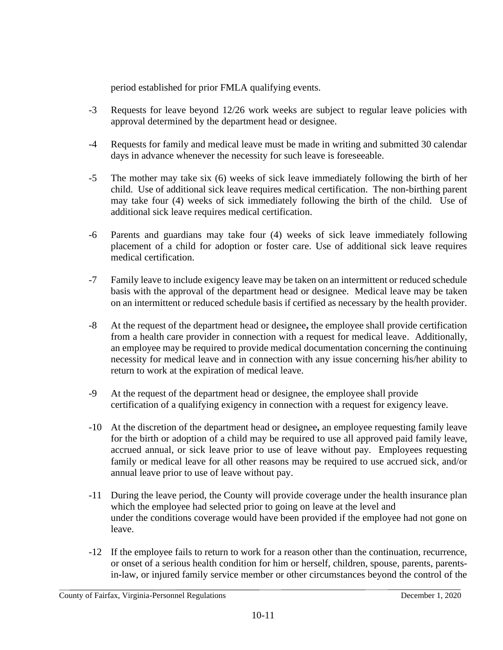period established for prior FMLA qualifying events.

- -3 Requests for leave beyond 12/26 work weeks are subject to regular leave policies with approval determined by the department head or designee.
- -4 Requests for family and medical leave must be made in writing and submitted 30 calendar days in advance whenever the necessity for such leave is foreseeable.
- -5 The mother may take six (6) weeks of sick leave immediately following the birth of her child. Use of additional sick leave requires medical certification. The non-birthing parent may take four (4) weeks of sick immediately following the birth of the child. Use of additional sick leave requires medical certification.
- -6 Parents and guardians may take four (4) weeks of sick leave immediately following placement of a child for adoption or foster care. Use of additional sick leave requires medical certification.
- -7 Family leave to include exigency leave may be taken on an intermittent or reduced schedule basis with the approval of the department head or designee. Medical leave may be taken on an intermittent or reduced schedule basis if certified as necessary by the health provider.
- -8 At the request of the department head or designee**,** the employee shall provide certification from a health care provider in connection with a request for medical leave. Additionally, an employee may be required to provide medical documentation concerning the continuing necessity for medical leave and in connection with any issue concerning his/her ability to return to work at the expiration of medical leave.
- -9 At the request of the department head or designee, the employee shall provide certification of a qualifying exigency in connection with a request for exigency leave.
- -10 At the discretion of the department head or designee**,** an employee requesting family leave for the birth or adoption of a child may be required to use all approved paid family leave, accrued annual, or sick leave prior to use of leave without pay. Employees requesting family or medical leave for all other reasons may be required to use accrued sick, and/or annual leave prior to use of leave without pay.
- -11 During the leave period, the County will provide coverage under the health insurance plan which the employee had selected prior to going on leave at the level and under the conditions coverage would have been provided if the employee had not gone on leave.
- -12 If the employee fails to return to work for a reason other than the continuation, recurrence, or onset of a serious health condition for him or herself, children, spouse, parents, parentsin-law, or injured family service member or other circumstances beyond the control of the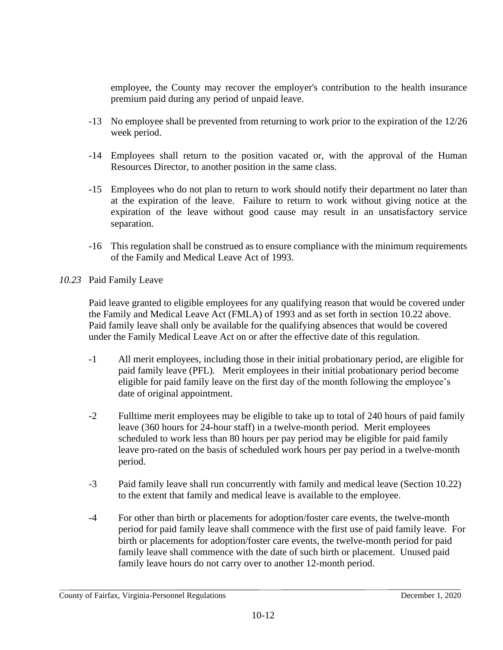employee, the County may recover the employer's contribution to the health insurance premium paid during any period of unpaid leave.

- -13 No employee shall be prevented from returning to work prior to the expiration of the 12/26 week period.
- -14 Employees shall return to the position vacated or, with the approval of the Human Resources Director, to another position in the same class.
- -15 Employees who do not plan to return to work should notify their department no later than at the expiration of the leave. Failure to return to work without giving notice at the expiration of the leave without good cause may result in an unsatisfactory service separation.
- -16 This regulation shall be construed as to ensure compliance with the minimum requirements of the Family and Medical Leave Act of 1993.
- *10.23* Paid Family Leave

Paid leave granted to eligible employees for any qualifying reason that would be covered under the Family and Medical Leave Act (FMLA) of 1993 and as set forth in section 10.22 above. Paid family leave shall only be available for the qualifying absences that would be covered under the Family Medical Leave Act on or after the effective date of this regulation.

- -1 All merit employees, including those in their initial probationary period, are eligible for paid family leave (PFL). Merit employees in their initial probationary period become eligible for paid family leave on the first day of the month following the employee's date of original appointment.
- -2 Fulltime merit employees may be eligible to take up to total of 240 hours of paid family leave (360 hours for 24-hour staff) in a twelve-month period. Merit employees scheduled to work less than 80 hours per pay period may be eligible for paid family leave pro-rated on the basis of scheduled work hours per pay period in a twelve-month period.
- -3 Paid family leave shall run concurrently with family and medical leave (Section 10.22) to the extent that family and medical leave is available to the employee.
- -4 For other than birth or placements for adoption/foster care events, the twelve-month period for paid family leave shall commence with the first use of paid family leave. For birth or placements for adoption/foster care events, the twelve-month period for paid family leave shall commence with the date of such birth or placement. Unused paid family leave hours do not carry over to another 12-month period.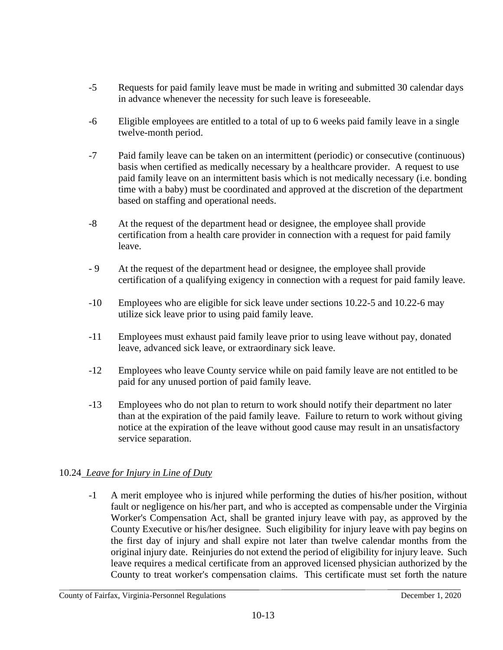- -5 Requests for paid family leave must be made in writing and submitted 30 calendar days in advance whenever the necessity for such leave is foreseeable.
- -6 Eligible employees are entitled to a total of up to 6 weeks paid family leave in a single twelve-month period.
- -7 Paid family leave can be taken on an intermittent (periodic) or consecutive (continuous) basis when certified as medically necessary by a healthcare provider. A request to use paid family leave on an intermittent basis which is not medically necessary (i.e. bonding time with a baby) must be coordinated and approved at the discretion of the department based on staffing and operational needs.
- -8 At the request of the department head or designee, the employee shall provide certification from a health care provider in connection with a request for paid family leave.
- 9 At the request of the department head or designee, the employee shall provide certification of a qualifying exigency in connection with a request for paid family leave.
- -10 Employees who are eligible for sick leave under sections 10.22-5 and 10.22-6 may utilize sick leave prior to using paid family leave.
- -11 Employees must exhaust paid family leave prior to using leave without pay, donated leave, advanced sick leave, or extraordinary sick leave.
- -12 Employees who leave County service while on paid family leave are not entitled to be paid for any unused portion of paid family leave.
- -13 Employees who do not plan to return to work should notify their department no later than at the expiration of the paid family leave. Failure to return to work without giving notice at the expiration of the leave without good cause may result in an unsatisfactory service separation.

# 10.24 *Leave for Injury in Line of Duty*

-1 A merit employee who is injured while performing the duties of his/her position, without fault or negligence on his/her part, and who is accepted as compensable under the Virginia Worker's Compensation Act, shall be granted injury leave with pay, as approved by the County Executive or his/her designee. Such eligibility for injury leave with pay begins on the first day of injury and shall expire not later than twelve calendar months from the original injury date. Reinjuries do not extend the period of eligibility for injury leave. Such leave requires a medical certificate from an approved licensed physician authorized by the County to treat worker's compensation claims. This certificate must set forth the nature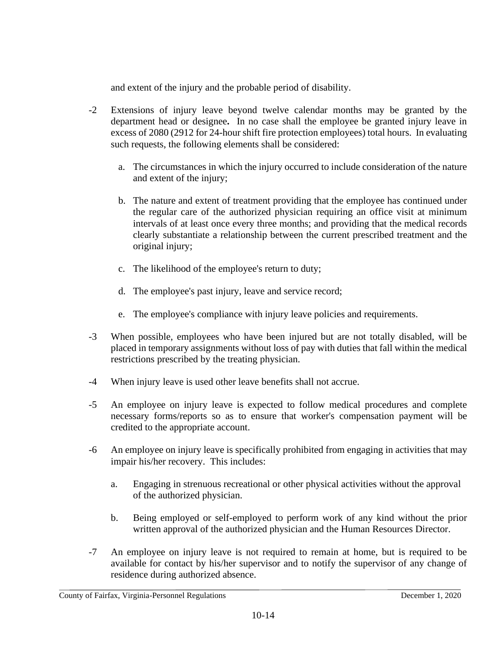and extent of the injury and the probable period of disability.

- -2 Extensions of injury leave beyond twelve calendar months may be granted by the department head or designee**.** In no case shall the employee be granted injury leave in excess of 2080 (2912 for 24-hour shift fire protection employees) total hours. In evaluating such requests, the following elements shall be considered:
	- a. The circumstances in which the injury occurred to include consideration of the nature and extent of the injury;
	- b. The nature and extent of treatment providing that the employee has continued under the regular care of the authorized physician requiring an office visit at minimum intervals of at least once every three months; and providing that the medical records clearly substantiate a relationship between the current prescribed treatment and the original injury;
	- c. The likelihood of the employee's return to duty;
	- d. The employee's past injury, leave and service record;
	- e. The employee's compliance with injury leave policies and requirements.
- -3 When possible, employees who have been injured but are not totally disabled, will be placed in temporary assignments without loss of pay with duties that fall within the medical restrictions prescribed by the treating physician.
- -4 When injury leave is used other leave benefits shall not accrue.
- -5 An employee on injury leave is expected to follow medical procedures and complete necessary forms/reports so as to ensure that worker's compensation payment will be credited to the appropriate account.
- -6 An employee on injury leave is specifically prohibited from engaging in activities that may impair his/her recovery. This includes:
	- a. Engaging in strenuous recreational or other physical activities without the approval of the authorized physician.
	- b. Being employed or self-employed to perform work of any kind without the prior written approval of the authorized physician and the Human Resources Director.
- -7 An employee on injury leave is not required to remain at home, but is required to be available for contact by his/her supervisor and to notify the supervisor of any change of residence during authorized absence.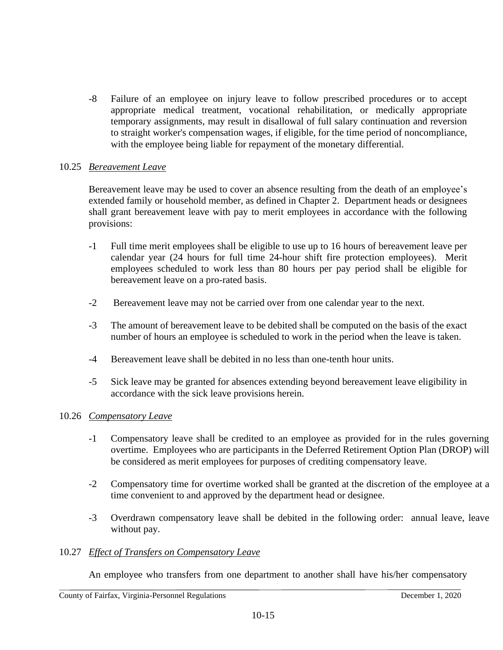-8 Failure of an employee on injury leave to follow prescribed procedures or to accept appropriate medical treatment, vocational rehabilitation, or medically appropriate temporary assignments, may result in disallowal of full salary continuation and reversion to straight worker's compensation wages, if eligible, for the time period of noncompliance, with the employee being liable for repayment of the monetary differential.

#### 10.25 *Bereavement Leave*

Bereavement leave may be used to cover an absence resulting from the death of an employee's extended family or household member, as defined in Chapter 2. Department heads or designees shall grant bereavement leave with pay to merit employees in accordance with the following provisions:

- -1 Full time merit employees shall be eligible to use up to 16 hours of bereavement leave per calendar year (24 hours for full time 24-hour shift fire protection employees). Merit employees scheduled to work less than 80 hours per pay period shall be eligible for bereavement leave on a pro-rated basis.
- -2 Bereavement leave may not be carried over from one calendar year to the next.
- -3 The amount of bereavement leave to be debited shall be computed on the basis of the exact number of hours an employee is scheduled to work in the period when the leave is taken.
- -4 Bereavement leave shall be debited in no less than one-tenth hour units.
- -5 Sick leave may be granted for absences extending beyond bereavement leave eligibility in accordance with the sick leave provisions herein.

#### 10.26 *Compensatory Leave*

- -1 Compensatory leave shall be credited to an employee as provided for in the rules governing overtime. Employees who are participants in the Deferred Retirement Option Plan (DROP) will be considered as merit employees for purposes of crediting compensatory leave.
- -2 Compensatory time for overtime worked shall be granted at the discretion of the employee at a time convenient to and approved by the department head or designee.
- -3 Overdrawn compensatory leave shall be debited in the following order: annual leave, leave without pay.

#### 10.27 *Effect of Transfers on Compensatory Leave*

An employee who transfers from one department to another shall have his/her compensatory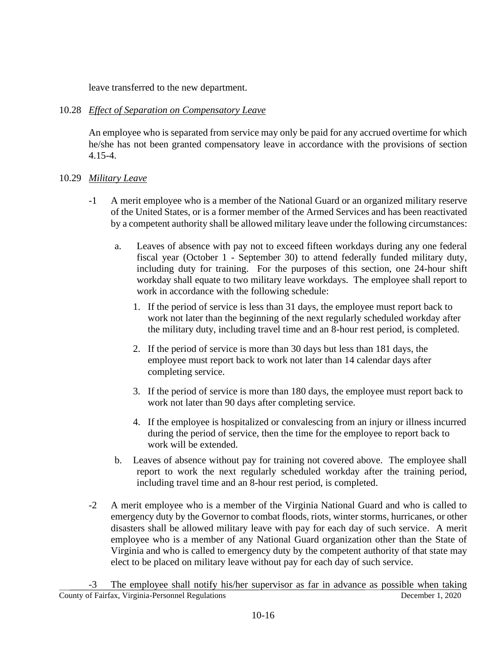leave transferred to the new department.

#### 10.28 *Effect of Separation on Compensatory Leave*

An employee who is separated from service may only be paid for any accrued overtime for which he/she has not been granted compensatory leave in accordance with the provisions of section 4.15-4.

- 10.29 *Military Leave*
	- -1 A merit employee who is a member of the National Guard or an organized military reserve of the United States, or is a former member of the Armed Services and has been reactivated by a competent authority shall be allowed military leave under the following circumstances:
		- a. Leaves of absence with pay not to exceed fifteen workdays during any one federal fiscal year (October 1 - September 30) to attend federally funded military duty, including duty for training. For the purposes of this section, one 24-hour shift workday shall equate to two military leave workdays. The employee shall report to work in accordance with the following schedule:
			- 1. If the period of service is less than 31 days, the employee must report back to work not later than the beginning of the next regularly scheduled workday after the military duty, including travel time and an 8-hour rest period, is completed.
			- 2. If the period of service is more than 30 days but less than 181 days, the employee must report back to work not later than 14 calendar days after completing service.
			- 3. If the period of service is more than 180 days, the employee must report back to work not later than 90 days after completing service.
			- 4. If the employee is hospitalized or convalescing from an injury or illness incurred during the period of service, then the time for the employee to report back to work will be extended.
		- b. Leaves of absence without pay for training not covered above. The employee shall report to work the next regularly scheduled workday after the training period, including travel time and an 8-hour rest period, is completed.
	- -2 A merit employee who is a member of the Virginia National Guard and who is called to emergency duty by the Governor to combat floods, riots, winter storms, hurricanes, or other disasters shall be allowed military leave with pay for each day of such service. A merit employee who is a member of any National Guard organization other than the State of Virginia and who is called to emergency duty by the competent authority of that state may elect to be placed on military leave without pay for each day of such service.

County of Fairfax, Virginia-Personnel Regulations December 1, 2020 The employee shall notify his/her supervisor as far in advance as possible when taking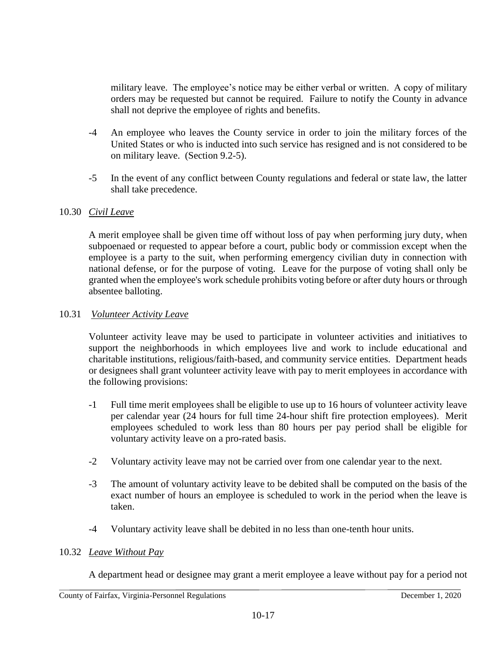military leave. The employee's notice may be either verbal or written. A copy of military orders may be requested but cannot be required. Failure to notify the County in advance shall not deprive the employee of rights and benefits.

- -4 An employee who leaves the County service in order to join the military forces of the United States or who is inducted into such service has resigned and is not considered to be on military leave. (Section 9.2-5).
- -5 In the event of any conflict between County regulations and federal or state law, the latter shall take precedence.

## 10.30 *Civil Leave*

A merit employee shall be given time off without loss of pay when performing jury duty, when subpoenaed or requested to appear before a court, public body or commission except when the employee is a party to the suit, when performing emergency civilian duty in connection with national defense, or for the purpose of voting. Leave for the purpose of voting shall only be granted when the employee's work schedule prohibits voting before or after duty hours or through absentee balloting.

## 10.31 *Volunteer Activity Leave*

Volunteer activity leave may be used to participate in volunteer activities and initiatives to support the neighborhoods in which employees live and work to include educational and charitable institutions, religious/faith-based, and community service entities. Department heads or designees shall grant volunteer activity leave with pay to merit employees in accordance with the following provisions:

- -1 Full time merit employees shall be eligible to use up to 16 hours of volunteer activity leave per calendar year (24 hours for full time 24-hour shift fire protection employees). Merit employees scheduled to work less than 80 hours per pay period shall be eligible for voluntary activity leave on a pro-rated basis.
- -2 Voluntary activity leave may not be carried over from one calendar year to the next.
- -3 The amount of voluntary activity leave to be debited shall be computed on the basis of the exact number of hours an employee is scheduled to work in the period when the leave is taken.
- -4 Voluntary activity leave shall be debited in no less than one-tenth hour units.

### 10.32 *Leave Without Pay*

A department head or designee may grant a merit employee a leave without pay for a period not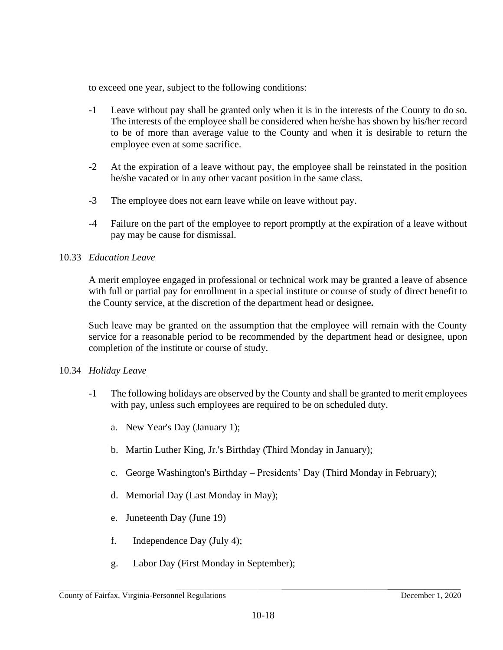to exceed one year, subject to the following conditions:

- -1 Leave without pay shall be granted only when it is in the interests of the County to do so. The interests of the employee shall be considered when he/she has shown by his/her record to be of more than average value to the County and when it is desirable to return the employee even at some sacrifice.
- -2 At the expiration of a leave without pay, the employee shall be reinstated in the position he/she vacated or in any other vacant position in the same class.
- -3 The employee does not earn leave while on leave without pay.
- -4 Failure on the part of the employee to report promptly at the expiration of a leave without pay may be cause for dismissal.

### 10.33 *Education Leave*

A merit employee engaged in professional or technical work may be granted a leave of absence with full or partial pay for enrollment in a special institute or course of study of direct benefit to the County service, at the discretion of the department head or designee**.**

Such leave may be granted on the assumption that the employee will remain with the County service for a reasonable period to be recommended by the department head or designee, upon completion of the institute or course of study.

### 10.34 *Holiday Leave*

- -1 The following holidays are observed by the County and shall be granted to merit employees with pay, unless such employees are required to be on scheduled duty.
	- a. New Year's Day (January 1);
	- b. Martin Luther King, Jr.'s Birthday (Third Monday in January);
	- c. George Washington's Birthday Presidents' Day (Third Monday in February);
	- d. Memorial Day (Last Monday in May);
	- e. Juneteenth Day (June 19)
	- f. Independence Day (July 4);
	- g. Labor Day (First Monday in September);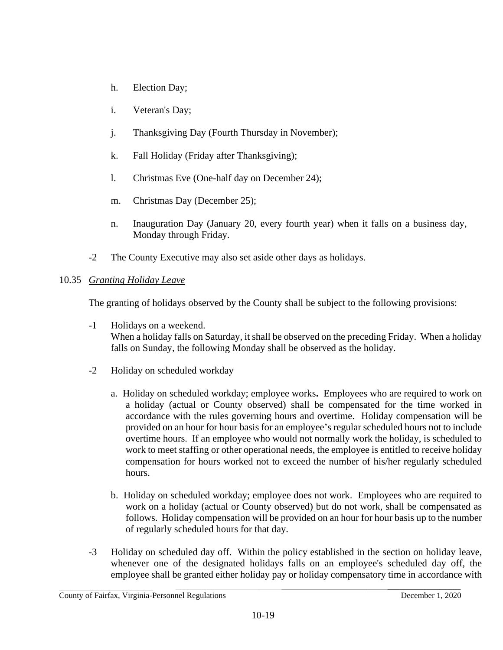- h. Election Day;
- i. Veteran's Day;
- j. Thanksgiving Day (Fourth Thursday in November);
- k. Fall Holiday (Friday after Thanksgiving);
- l. Christmas Eve (One-half day on December 24);
- m. Christmas Day (December 25);
- n. Inauguration Day (January 20, every fourth year) when it falls on a business day, Monday through Friday.
- -2 The County Executive may also set aside other days as holidays.

# 10.35 *Granting Holiday Leave*

The granting of holidays observed by the County shall be subject to the following provisions:

- -1 Holidays on a weekend. When a holiday falls on Saturday, it shall be observed on the preceding Friday. When a holiday falls on Sunday, the following Monday shall be observed as the holiday.
- -2 Holiday on scheduled workday
	- a. Holiday on scheduled workday; employee works**.** Employees who are required to work on a holiday (actual or County observed) shall be compensated for the time worked in accordance with the rules governing hours and overtime. Holiday compensation will be provided on an hour for hour basis for an employee's regular scheduled hours not to include overtime hours. If an employee who would not normally work the holiday, is scheduled to work to meet staffing or other operational needs, the employee is entitled to receive holiday compensation for hours worked not to exceed the number of his/her regularly scheduled hours.
	- b. Holiday on scheduled workday; employee does not work. Employees who are required to work on a holiday (actual or County observed) but do not work, shall be compensated as follows. Holiday compensation will be provided on an hour for hour basis up to the number of regularly scheduled hours for that day.
- -3 Holiday on scheduled day off. Within the policy established in the section on holiday leave, whenever one of the designated holidays falls on an employee's scheduled day off, the employee shall be granted either holiday pay or holiday compensatory time in accordance with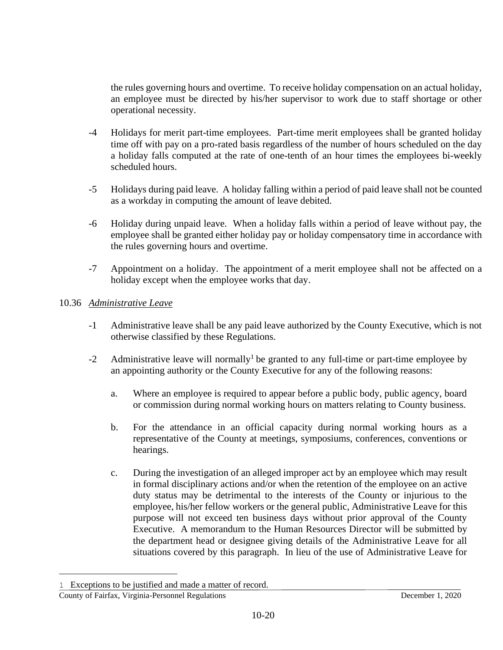the rules governing hours and overtime. To receive holiday compensation on an actual holiday, an employee must be directed by his/her supervisor to work due to staff shortage or other operational necessity.

- -4 Holidays for merit part-time employees. Part-time merit employees shall be granted holiday time off with pay on a pro-rated basis regardless of the number of hours scheduled on the day a holiday falls computed at the rate of one-tenth of an hour times the employees bi-weekly scheduled hours.
- -5 Holidays during paid leave. A holiday falling within a period of paid leave shall not be counted as a workday in computing the amount of leave debited.
- -6 Holiday during unpaid leave. When a holiday falls within a period of leave without pay, the employee shall be granted either holiday pay or holiday compensatory time in accordance with the rules governing hours and overtime.
- -7 Appointment on a holiday. The appointment of a merit employee shall not be affected on a holiday except when the employee works that day.

## 10.36 *Administrative Leave*

- -1 Administrative leave shall be any paid leave authorized by the County Executive, which is not otherwise classified by these Regulations.
- -2 Administrative leave will normally<sup>1</sup> be granted to any full-time or part-time employee by an appointing authority or the County Executive for any of the following reasons:
	- a. Where an employee is required to appear before a public body, public agency, board or commission during normal working hours on matters relating to County business.
	- b. For the attendance in an official capacity during normal working hours as a representative of the County at meetings, symposiums, conferences, conventions or hearings.
	- c. During the investigation of an alleged improper act by an employee which may result in formal disciplinary actions and/or when the retention of the employee on an active duty status may be detrimental to the interests of the County or injurious to the employee, his/her fellow workers or the general public, Administrative Leave for this purpose will not exceed ten business days without prior approval of the County Executive. A memorandum to the Human Resources Director will be submitted by the department head or designee giving details of the Administrative Leave for all situations covered by this paragraph. In lieu of the use of Administrative Leave for

<sup>1</sup> Exceptions to be justified and made a matter of record.

County of Fairfax, Virginia-Personnel Regulations December 1, 2020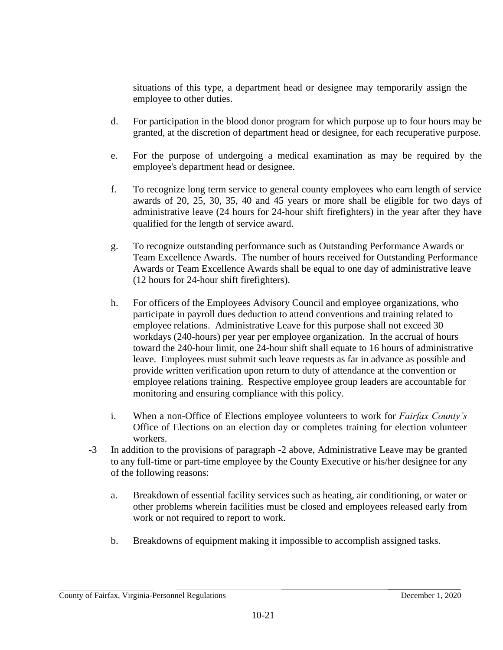situations of this type, a department head or designee may temporarily assign the employee to other duties.

- d. For participation in the blood donor program for which purpose up to four hours may be granted, at the discretion of department head or designee, for each recuperative purpose.
- e. For the purpose of undergoing a medical examination as may be required by the employee's department head or designee.
- f. To recognize long term service to general county employees who earn length of service awards of 20, 25, 30, 35, 40 and 45 years or more shall be eligible for two days of administrative leave (24 hours for 24-hour shift firefighters) in the year after they have qualified for the length of service award.
- g. To recognize outstanding performance such as Outstanding Performance Awards or Team Excellence Awards. The number of hours received for Outstanding Performance Awards or Team Excellence Awards shall be equal to one day of administrative leave (12 hours for 24-hour shift firefighters).
- h. For officers of the Employees Advisory Council and employee organizations, who participate in payroll dues deduction to attend conventions and training related to employee relations. Administrative Leave for this purpose shall not exceed 30 workdays (240-hours) per year per employee organization. In the accrual of hours toward the 240-hour limit, one 24-hour shift shall equate to 16 hours of administrative leave. Employees must submit such leave requests as far in advance as possible and provide written verification upon return to duty of attendance at the convention or employee relations training. Respective employee group leaders are accountable for monitoring and ensuring compliance with this policy.
- i. When a non-Office of Elections employee volunteers to work for *Fairfax County's*  Office of Elections on an election day or completes training for election volunteer workers.
- -3 In addition to the provisions of paragraph -2 above, Administrative Leave may be granted to any full-time or part-time employee by the County Executive or his/her designee for any of the following reasons:
	- a. Breakdown of essential facility services such as heating, air conditioning, or water or other problems wherein facilities must be closed and employees released early from work or not required to report to work.
	- b. Breakdowns of equipment making it impossible to accomplish assigned tasks.